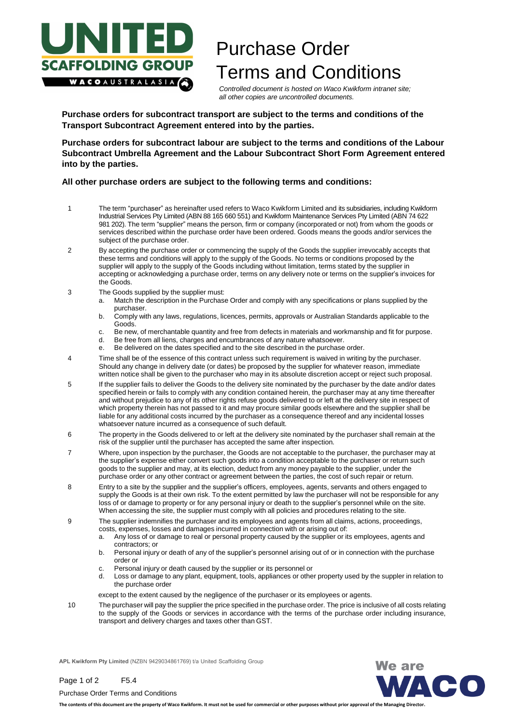

## Purchase Order Terms and Conditions

*Controlled document is hosted on Waco Kwikform intranet site; all other copies are uncontrolled documents.*

**Purchase orders for subcontract transport are subject to the terms and conditions of the Transport Subcontract Agreement entered into by the parties.**

**Purchase orders for subcontract labour are subject to the terms and conditions of the Labour Subcontract Umbrella Agreement and the Labour Subcontract Short Form Agreement entered into by the parties.**

## **All other purchase orders are subject to the following terms and conditions:**

- 1 The term "purchaser" as hereinafter used refers to Waco Kwikform Limited and its subsidiaries, including Kwikform Industrial Services Pty Limited (ABN 88 165 660 551) and Kwikform Maintenance Services Pty Limited (ABN 74 622 981 202). The term "supplier" means the person, firm or company (incorporated or not) from whom the goods or services described within the purchase order have been ordered. Goods means the goods and/or services the subject of the purchase order.
- 2 By accepting the purchase order or commencing the supply of the Goods the supplier irrevocably accepts that these terms and conditions will apply to the supply of the Goods. No terms or conditions proposed by the supplier will apply to the supply of the Goods including without limitation, terms stated by the supplier in accepting or acknowledging a purchase order, terms on any delivery note or terms on the supplier's invoices for the Goods.
- 3 The Goods supplied by the supplier must:
	- a. Match the description in the Purchase Order and comply with any specifications or plans supplied by the purchaser.
	- b. Comply with any laws, regulations, licences, permits, approvals or Australian Standards applicable to the Goods.
	- c. Be new, of merchantable quantity and free from defects in materials and workmanship and fit for purpose.
	- d. Be free from all liens, charges and encumbrances of any nature whatsoever.
	- e. Be delivered on the dates specified and to the site described in the purchase order.
- 4 Time shall be of the essence of this contract unless such requirement is waived in writing by the purchaser. Should any change in delivery date (or dates) be proposed by the supplier for whatever reason, immediate written notice shall be given to the purchaser who may in its absolute discretion accept or reject such proposal.
- 5 If the supplier fails to deliver the Goods to the delivery site nominated by the purchaser by the date and/or dates specified herein or fails to comply with any condition contained herein, the purchaser may at any time thereafter and without prejudice to any of its other rights refuse goods delivered to or left at the delivery site in respect of which property therein has not passed to it and may procure similar goods elsewhere and the supplier shall be liable for any additional costs incurred by the purchaser as a consequence thereof and any incidental losses whatsoever nature incurred as a consequence of such default.
- 6 The property in the Goods delivered to or left at the delivery site nominated by the purchaser shall remain at the risk of the supplier until the purchaser has accepted the same after inspection.
- 7 Where, upon inspection by the purchaser, the Goods are not acceptable to the purchaser, the purchaser may at the supplier's expense either convert such goods into a condition acceptable to the purchaser or return such goods to the supplier and may, at its election, deduct from any money payable to the supplier, under the purchase order or any other contract or agreement between the parties, the cost of such repair or return.
- 8 Entry to a site by the supplier and the supplier's officers, employees, agents, servants and others engaged to supply the Goods is at their own risk. To the extent permitted by law the purchaser will not be responsible for any loss of or damage to property or for any personal injury or death to the supplier's personnel while on the site. When accessing the site, the supplier must comply with all policies and procedures relating to the site.
- 9 The supplier indemnifies the purchaser and its employees and agents from all claims, actions, proceedings, costs, expenses, losses and damages incurred in connection with or arising out of:
	- a. Any loss of or damage to real or personal property caused by the supplier or its employees, agents and contractors; or
	- b. Personal injury or death of any of the supplier's personnel arising out of or in connection with the purchase order or
	- c. Personal injury or death caused by the supplier or its personnel or
	- d. Loss or damage to any plant, equipment, tools, appliances or other property used by the suppler in relation to the purchase order

except to the extent caused by the negligence of the purchaser or its employees or agents.

10 The purchaser will pay the supplier the price specified in the purchase order. The price is inclusive of all costs relating to the supply of the Goods or services in accordance with the terms of the purchase order including insurance, transport and delivery charges and taxes other than GST.

**APL Kwikform Pty Limited** (NZBN 9429034861769) t/a United Scaffolding Group



Purchase Order Terms and Conditions

We are **MACO** 

**The contents of this document are the property of Waco Kwikform. It must not be used for commercial or other purposes without prior approval of the Managing Director.**